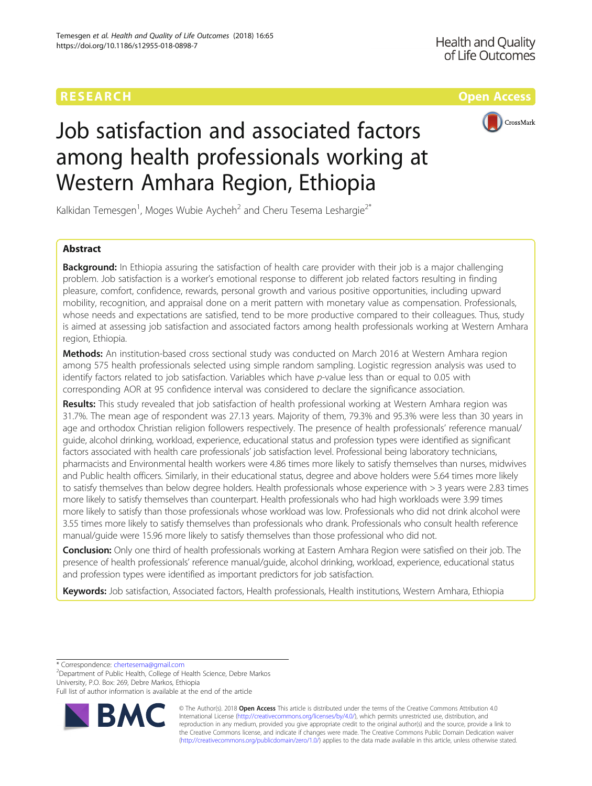# RESEARCH **RESEARCH CONSUMING THE CONSUMING TEACHER CONSUMING THE CONSUMING TEACHER CONSUMING THE CONSUMING TEACHER CONSUMING THE CONSUMING TEACHER CONSUMING THE CONSUMING TEACHER CONSUMING THE CONSUMING TEACHER CONSUMING**



# Job satisfaction and associated factors among health professionals working at Western Amhara Region, Ethiopia

Kalkidan Temesgen<sup>1</sup>, Moges Wubie Aycheh<sup>2</sup> and Cheru Tesema Leshargie<sup>2\*</sup>

# Abstract

**Background:** In Ethiopia assuring the satisfaction of health care provider with their job is a major challenging problem. Job satisfaction is a worker's emotional response to different job related factors resulting in finding pleasure, comfort, confidence, rewards, personal growth and various positive opportunities, including upward mobility, recognition, and appraisal done on a merit pattern with monetary value as compensation. Professionals, whose needs and expectations are satisfied, tend to be more productive compared to their colleagues. Thus, study is aimed at assessing job satisfaction and associated factors among health professionals working at Western Amhara region, Ethiopia.

Methods: An institution-based cross sectional study was conducted on March 2016 at Western Amhara region among 575 health professionals selected using simple random sampling. Logistic regression analysis was used to identify factors related to job satisfaction. Variables which have p-value less than or equal to 0.05 with corresponding AOR at 95 confidence interval was considered to declare the significance association.

Results: This study revealed that job satisfaction of health professional working at Western Amhara region was 31.7%. The mean age of respondent was 27.13 years. Majority of them, 79.3% and 95.3% were less than 30 years in age and orthodox Christian religion followers respectively. The presence of health professionals' reference manual/ guide, alcohol drinking, workload, experience, educational status and profession types were identified as significant factors associated with health care professionals' job satisfaction level. Professional being laboratory technicians, pharmacists and Environmental health workers were 4.86 times more likely to satisfy themselves than nurses, midwives and Public health officers. Similarly, in their educational status, degree and above holders were 5.64 times more likely to satisfy themselves than below degree holders. Health professionals whose experience with > 3 years were 2.83 times more likely to satisfy themselves than counterpart. Health professionals who had high workloads were 3.99 times more likely to satisfy than those professionals whose workload was low. Professionals who did not drink alcohol were 3.55 times more likely to satisfy themselves than professionals who drank. Professionals who consult health reference manual/guide were 15.96 more likely to satisfy themselves than those professional who did not.

Conclusion: Only one third of health professionals working at Eastern Amhara Region were satisfied on their job. The presence of health professionals' reference manual/guide, alcohol drinking, workload, experience, educational status and profession types were identified as important predictors for job satisfaction.

Keywords: Job satisfaction, Associated factors, Health professionals, Health institutions, Western Amhara, Ethiopia

\* Correspondence: [chertesema@gmail.com](mailto:chertesema@gmail.com) <sup>2</sup>

Department of Public Health, College of Health Science, Debre Markos University, P.O. Box: 269, Debre Markos, Ethiopia

Full list of author information is available at the end of the article



© The Author(s). 2018 Open Access This article is distributed under the terms of the Creative Commons Attribution 4.0 International License [\(http://creativecommons.org/licenses/by/4.0/](http://creativecommons.org/licenses/by/4.0/)), which permits unrestricted use, distribution, and reproduction in any medium, provided you give appropriate credit to the original author(s) and the source, provide a link to the Creative Commons license, and indicate if changes were made. The Creative Commons Public Domain Dedication waiver [\(http://creativecommons.org/publicdomain/zero/1.0/](http://creativecommons.org/publicdomain/zero/1.0/)) applies to the data made available in this article, unless otherwise stated.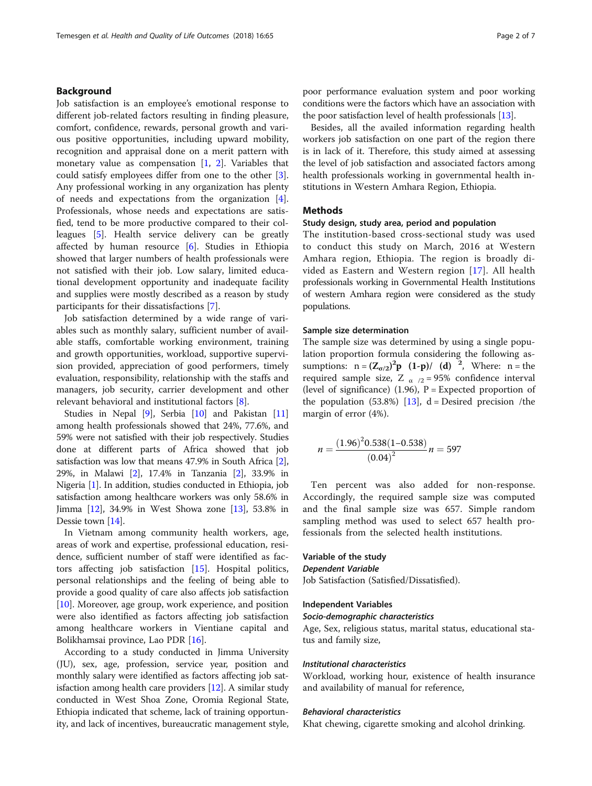# Background

Job satisfaction is an employee's emotional response to different job-related factors resulting in finding pleasure, comfort, confidence, rewards, personal growth and various positive opportunities, including upward mobility, recognition and appraisal done on a merit pattern with monetary value as compensation [\[1](#page-6-0), [2](#page-6-0)]. Variables that could satisfy employees differ from one to the other [\[3](#page-6-0)]. Any professional working in any organization has plenty of needs and expectations from the organization [\[4](#page-6-0)]. Professionals, whose needs and expectations are satisfied, tend to be more productive compared to their colleagues [[5\]](#page-6-0). Health service delivery can be greatly affected by human resource [[6\]](#page-6-0). Studies in Ethiopia showed that larger numbers of health professionals were not satisfied with their job. Low salary, limited educational development opportunity and inadequate facility and supplies were mostly described as a reason by study participants for their dissatisfactions [\[7](#page-6-0)].

Job satisfaction determined by a wide range of variables such as monthly salary, sufficient number of available staffs, comfortable working environment, training and growth opportunities, workload, supportive supervision provided, appreciation of good performers, timely evaluation, responsibility, relationship with the staffs and managers, job security, carrier development and other relevant behavioral and institutional factors [[8\]](#page-6-0).

Studies in Nepal [\[9\]](#page-6-0), Serbia [[10](#page-6-0)] and Pakistan [[11](#page-6-0)] among health professionals showed that 24%, 77.6%, and 59% were not satisfied with their job respectively. Studies done at different parts of Africa showed that job satisfaction was low that means 47.9% in South Africa [[2](#page-6-0)], 29%, in Malawi [\[2](#page-6-0)], 17.4% in Tanzania [\[2](#page-6-0)], 33.9% in Nigeria [[1\]](#page-6-0). In addition, studies conducted in Ethiopia, job satisfaction among healthcare workers was only 58.6% in Jimma [[12](#page-6-0)], 34.9% in West Showa zone [[13](#page-6-0)], 53.8% in Dessie town [[14](#page-6-0)].

In Vietnam among community health workers, age, areas of work and expertise, professional education, residence, sufficient number of staff were identified as factors affecting job satisfaction [[15\]](#page-6-0). Hospital politics, personal relationships and the feeling of being able to provide a good quality of care also affects job satisfaction [[10\]](#page-6-0). Moreover, age group, work experience, and position were also identified as factors affecting job satisfaction among healthcare workers in Vientiane capital and Bolikhamsai province, Lao PDR [[16](#page-6-0)].

According to a study conducted in Jimma University (JU), sex, age, profession, service year, position and monthly salary were identified as factors affecting job satisfaction among health care providers [\[12\]](#page-6-0). A similar study conducted in West Shoa Zone, Oromia Regional State, Ethiopia indicated that scheme, lack of training opportunity, and lack of incentives, bureaucratic management style, poor performance evaluation system and poor working conditions were the factors which have an association with the poor satisfaction level of health professionals [\[13](#page-6-0)].

Besides, all the availed information regarding health workers job satisfaction on one part of the region there is in lack of it. Therefore, this study aimed at assessing the level of job satisfaction and associated factors among health professionals working in governmental health institutions in Western Amhara Region, Ethiopia.

## **Methods**

#### Study design, study area, period and population

The institution-based cross-sectional study was used to conduct this study on March, 2016 at Western Amhara region, Ethiopia. The region is broadly divided as Eastern and Western region [\[17\]](#page-6-0). All health professionals working in Governmental Health Institutions of western Amhara region were considered as the study populations.

#### Sample size determination

The sample size was determined by using a single population proportion formula considering the following assumptions:  $n = (Z_{\sigma/2})^2 p (1-p) / (d)^2$ , Where:  $n =$  the required sample size, Z  $\alpha$  /2 = 95% confidence interval (level of significance) (1.96),  $P =$  Expected proportion of the population  $(53.8%)$  [\[13](#page-6-0)], d = Desired precision /the margin of error (4%).

$$
n = \frac{(1.96)^2 0.538 (1 - 0.538)}{(0.04)^2} n = 597
$$

Ten percent was also added for non-response. Accordingly, the required sample size was computed and the final sample size was 657. Simple random sampling method was used to select 657 health professionals from the selected health institutions.

# Variable of the study

#### Dependent Variable

Job Satisfaction (Satisfied/Dissatisfied).

#### Independent Variables

#### Socio-demographic characteristics

Age, Sex, religious status, marital status, educational status and family size,

#### Institutional characteristics

Workload, working hour, existence of health insurance and availability of manual for reference,

#### Behavioral characteristics

Khat chewing, cigarette smoking and alcohol drinking.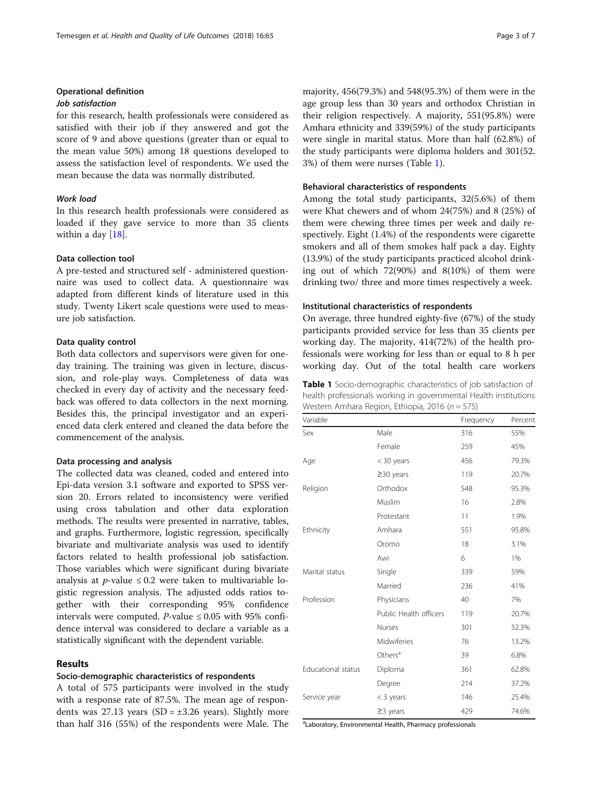# Operational definition

# Job satisfaction

for this research, health professionals were considered as satisfied with their job if they answered and got the score of 9 and above questions (greater than or equal to the mean value 50%) among 18 questions developed to assess the satisfaction level of respondents. We used the mean because the data was normally distributed.

# Work load

In this research health professionals were considered as loaded if they gave service to more than 35 clients within a day  $[18]$  $[18]$ .

## Data collection tool

A pre-tested and structured self - administered questionnaire was used to collect data. A questionnaire was adapted from different kinds of literature used in this study. Twenty Likert scale questions were used to measure job satisfaction.

#### Data quality control

Both data collectors and supervisors were given for oneday training. The training was given in lecture, discussion, and role-play ways. Completeness of data was checked in every day of activity and the necessary feedback was offered to data collectors in the next morning. Besides this, the principal investigator and an experienced data clerk entered and cleaned the data before the commencement of the analysis.

#### Data processing and analysis

The collected data was cleaned, coded and entered into Epi-data version 3.1 software and exported to SPSS version 20. Errors related to inconsistency were verified using cross tabulation and other data exploration methods. The results were presented in narrative, tables, and graphs. Furthermore, logistic regression, specifically bivariate and multivariate analysis was used to identify factors related to health professional job satisfaction. Those variables which were significant during bivariate analysis at *p*-value  $\leq 0.2$  were taken to multivariable logistic regression analysis. The adjusted odds ratios together with their corresponding 95% confidence intervals were computed. *P*-value  $\leq 0.05$  with 95% confidence interval was considered to declare a variable as a statistically significant with the dependent variable.

#### Results

# Socio-demographic characteristics of respondents

A total of 575 participants were involved in the study with a response rate of 87.5%. The mean age of respondents was 27.13 years (SD =  $\pm$ 3.26 years). Slightly more than half 316 (55%) of the respondents were Male. The

majority, 456(79.3%) and 548(95.3%) of them were in the age group less than 30 years and orthodox Christian in their religion respectively. A majority, 551(95.8%) were Amhara ethnicity and 339(59%) of the study participants were single in marital status. More than half (62.8%) of the study participants were diploma holders and 301(52. 3%) of them were nurses (Table 1).

#### Behavioral characteristics of respondents

Among the total study participants, 32(5.6%) of them were Khat chewers and of whom 24(75%) and 8 (25%) of them were chewing three times per week and daily respectively. Eight (1.4%) of the respondents were cigarette smokers and all of them smokes half pack a day. Eighty (13.9%) of the study participants practiced alcohol drinking out of which 72(90%) and 8(10%) of them were drinking two/ three and more times respectively a week.

#### Institutional characteristics of respondents

On average, three hundred eighty-five (67%) of the study participants provided service for less than 35 clients per working day. The majority, 414(72%) of the health professionals were working for less than or equal to 8 h per working day. Out of the total health care workers

| <b>Table 1</b> Socio-demographic characteristics of job satisfaction of |
|-------------------------------------------------------------------------|
| health professionals working in governmental Health institutions        |
| Western Amhara Region, Ethiopia, 2016 (n = 575)                         |

| Variable           |                        | Frequency | Percent |
|--------------------|------------------------|-----------|---------|
| Sex                | Male                   | 316       | 55%     |
|                    | Female                 | 259       | 45%     |
| Age                | $<$ 30 years           | 456       | 79.3%   |
|                    | $\geq$ 30 years        | 119       | 20.7%   |
| Religion           | Orthodox               | 548       | 95.3%   |
|                    | Muslim                 | 16        | 2.8%    |
|                    | Protestant             | 11        | 1.9%    |
| Ethnicity          | Amhara                 | 551       | 95.8%   |
|                    | Oromo                  | 18        | 3.1%    |
|                    | Awi                    | 6         | 1%      |
| Marital status     | Single                 | 339       | 59%     |
|                    | Married                | 236       | 41%     |
| Profession         | Physicians             | 40        | 7%      |
|                    | Public Health officers | 119       | 20.7%   |
|                    | Nurses                 | 301       | 52.3%   |
|                    | Midwiferies            | 76        | 13.2%   |
|                    | Others <sup>a</sup>    | 39        | 6.8%    |
| Educational status | Diploma                | 361       | 62.8%   |
|                    | Degree                 | 214       | 37.2%   |
| Service year       | $<$ 3 years            | 146       | 25.4%   |
|                    | $\geq$ 3 years         | 429       | 74.6%   |

<sup>a</sup>Laboratory, Environmental Health, Pharmacy professionals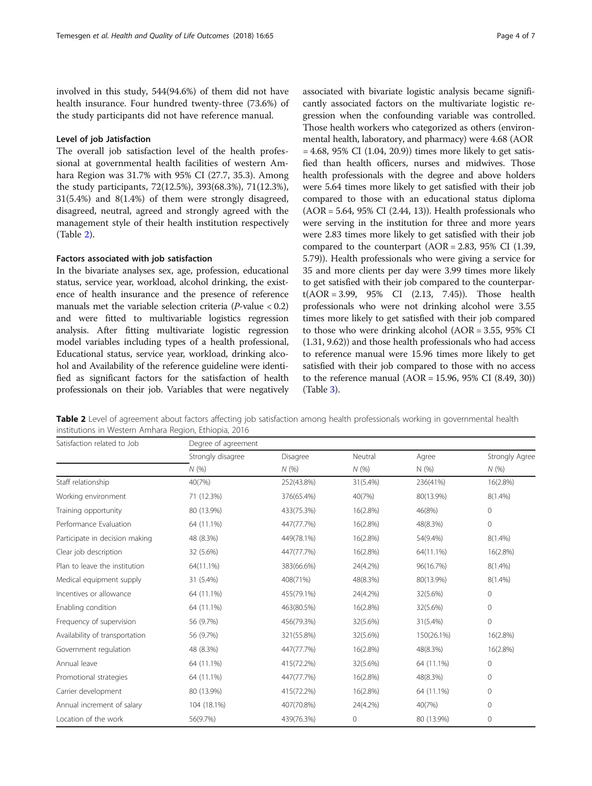involved in this study, 544(94.6%) of them did not have health insurance. Four hundred twenty-three (73.6%) of the study participants did not have reference manual.

# Level of job Jatisfaction

The overall job satisfaction level of the health professional at governmental health facilities of western Amhara Region was 31.7% with 95% CI (27.7, 35.3). Among the study participants, 72(12.5%), 393(68.3%), 71(12.3%), 31(5.4%) and 8(1.4%) of them were strongly disagreed, disagreed, neutral, agreed and strongly agreed with the management style of their health institution respectively (Table 2).

# Factors associated with job satisfaction

In the bivariate analyses sex, age, profession, educational status, service year, workload, alcohol drinking, the existence of health insurance and the presence of reference manuals met the variable selection criteria  $(P$ -value  $< 0.2$ ) and were fitted to multivariable logistics regression analysis. After fitting multivariate logistic regression model variables including types of a health professional, Educational status, service year, workload, drinking alcohol and Availability of the reference guideline were identified as significant factors for the satisfaction of health professionals on their job. Variables that were negatively associated with bivariate logistic analysis became significantly associated factors on the multivariate logistic regression when the confounding variable was controlled. Those health workers who categorized as others (environmental health, laboratory, and pharmacy) were 4.68 (AOR  $= 4.68, 95\% \text{ CI } (1.04, 20.9)$  times more likely to get satisfied than health officers, nurses and midwives. Those health professionals with the degree and above holders were 5.64 times more likely to get satisfied with their job compared to those with an educational status diploma (AOR = 5.64, 95% CI (2.44, 13)). Health professionals who were serving in the institution for three and more years were 2.83 times more likely to get satisfied with their job compared to the counterpart (AOR = 2.83, 95% CI (1.39, 5.79)). Health professionals who were giving a service for 35 and more clients per day were 3.99 times more likely to get satisfied with their job compared to the counterpart(AOR = 3.99, 95% CI (2.13, 7.45)). Those health professionals who were not drinking alcohol were 3.55 times more likely to get satisfied with their job compared to those who were drinking alcohol (AOR = 3.55, 95% CI (1.31, 9.62)) and those health professionals who had access to reference manual were 15.96 times more likely to get satisfied with their job compared to those with no access to the reference manual (AOR = 15.96, 95% CI (8.49, 30)) (Table [3\)](#page-4-0).

Table 2 Level of agreement about factors affecting job satisfaction among health professionals working in governmental health institutions in Western Amhara Region, Ethiopia, 2016

| Satisfaction related to Job    | Degree of agreement |            |          |            |                |  |
|--------------------------------|---------------------|------------|----------|------------|----------------|--|
|                                | Strongly disagree   | Disagree   | Neutral  | Agree      | Strongly Agree |  |
|                                | N(%)                | N(%        | N(%)     | N (%)      | N(%            |  |
| Staff relationship             | 40(7%)              | 252(43.8%) | 31(5.4%) | 236(41%)   | 16(2.8%)       |  |
| Working environment            | 71 (12.3%)          | 376(65.4%) | 40(7%)   | 80(13.9%)  | $8(1.4\%)$     |  |
| Training opportunity           | 80 (13.9%)          | 433(75.3%) | 16(2.8%) | 46(8%)     | $\mathbf{0}$   |  |
| Performance Evaluation         | 64 (11.1%)          | 447(77.7%) | 16(2.8%) | 48(8.3%)   | $\mathbf 0$    |  |
| Participate in decision making | 48 (8.3%)           | 449(78.1%) | 16(2.8%) | 54(9.4%)   | $8(1.4\%)$     |  |
| Clear job description          | 32 (5.6%)           | 447(77.7%) | 16(2.8%) | 64(11.1%)  | 16(2.8%)       |  |
| Plan to leave the institution  | 64(11.1%)           | 383(66.6%) | 24(4.2%) | 96(16.7%)  | $8(1.4\%)$     |  |
| Medical equipment supply       | 31 (5.4%)           | 408(71%)   | 48(8.3%) | 80(13.9%)  | $8(1.4\%)$     |  |
| Incentives or allowance        | 64 (11.1%)          | 455(79.1%) | 24(4.2%) | 32(5.6%)   | $\mathbf{0}$   |  |
| Enabling condition             | 64 (11.1%)          | 463(80.5%) | 16(2.8%) | 32(5.6%)   | $\mathbf 0$    |  |
| Frequency of supervision       | 56 (9.7%)           | 456(79.3%) | 32(5.6%) | 31(5.4%)   | $\overline{0}$ |  |
| Availability of transportation | 56 (9.7%)           | 321(55.8%) | 32(5.6%) | 150(26.1%) | 16(2.8%)       |  |
| Government regulation          | 48 (8.3%)           | 447(77.7%) | 16(2.8%) | 48(8.3%)   | 16(2.8%)       |  |
| Annual leave                   | 64 (11.1%)          | 415(72.2%) | 32(5.6%) | 64 (11.1%) | $\mathbf 0$    |  |
| Promotional strategies         | 64 (11.1%)          | 447(77.7%) | 16(2.8%) | 48(8.3%)   | $\mathbf{0}$   |  |
| Carrier development            | 80 (13.9%)          | 415(72.2%) | 16(2.8%) | 64 (11.1%) | $\mathbf{0}$   |  |
| Annual increment of salary     | 104 (18.1%)         | 407(70.8%) | 24(4.2%) | 40(7%)     | $\mathbf{0}$   |  |
| Location of the work           | 56(9.7%)            | 439(76.3%) | 0        | 80 (13.9%) | 0              |  |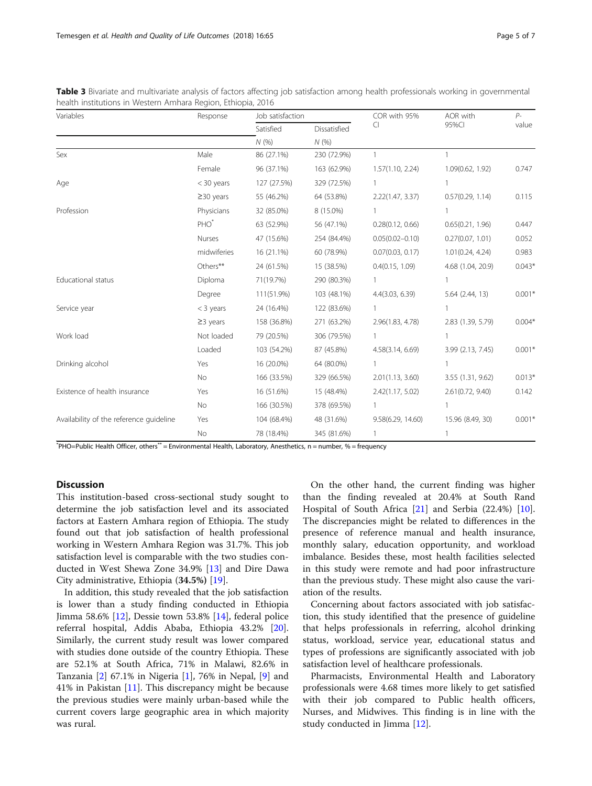| Variables                               | Response         | Job satisfaction |                     | COR with 95%        | AOR with            | $P-$     |
|-----------------------------------------|------------------|------------------|---------------------|---------------------|---------------------|----------|
|                                         |                  | Satisfied<br>N(% | Dissatisfied<br>N(% | CI                  | 95%CI               | value    |
|                                         |                  |                  |                     |                     |                     |          |
| Sex                                     | Male             | 86 (27.1%)       | 230 (72.9%)         | $\mathbf{1}$        |                     |          |
|                                         | Female           | 96 (37.1%)       | 163 (62.9%)         | 1.57(1.10, 2.24)    | 1.09(0.62, 1.92)    | 0.747    |
| Age                                     | $<$ 30 years     | 127 (27.5%)      | 329 (72.5%)         | 1                   |                     |          |
|                                         | $\geq$ 30 years  | 55 (46.2%)       | 64 (53.8%)          | 2.22(1.47, 3.37)    | 0.57(0.29, 1.14)    | 0.115    |
| Profession                              | Physicians       | 32 (85.0%)       | 8 (15.0%)           |                     |                     |          |
|                                         | PHO <sup>*</sup> | 63 (52.9%)       | 56 (47.1%)          | 0.28(0.12, 0.66)    | 0.65(0.21, 1.96)    | 0.447    |
|                                         | Nurses           | 47 (15.6%)       | 254 (84.4%)         | $0.05(0.02 - 0.10)$ | 0.27(0.07, 1.01)    | 0.052    |
|                                         | midwiferies      | 16 (21.1%)       | 60 (78.9%)          | 0.07(0.03, 0.17)    | 1.01(0.24, 4.24)    | 0.983    |
|                                         | Others**         | 24 (61.5%)       | 15 (38.5%)          | 0.4(0.15, 1.09)     | 4.68 (1.04, 20.9)   | $0.043*$ |
| Educational status                      | Diploma          | 71(19.7%)        | 290 (80.3%)         | 1                   |                     |          |
|                                         | Degree           | 111(51.9%)       | 103 (48.1%)         | 4.4(3.03, 6.39)     | $5.64$ $(2.44, 13)$ | $0.001*$ |
| Service year                            | $<$ 3 years      | 24 (16.4%)       | 122 (83.6%)         |                     |                     |          |
|                                         | $\geq$ 3 years   | 158 (36.8%)      | 271 (63.2%)         | 2.96(1.83, 4.78)    | 2.83 (1.39, 5.79)   | $0.004*$ |
| Work load                               | Not loaded       | 79 (20.5%)       | 306 (79.5%)         |                     |                     |          |
|                                         | Loaded           | 103 (54.2%)      | 87 (45.8%)          | 4.58(3.14, 6.69)    | 3.99 (2.13, 7.45)   | $0.001*$ |
| Drinking alcohol                        | Yes              | 16 (20.0%)       | 64 (80.0%)          | 1                   |                     |          |
|                                         | No               | 166 (33.5%)      | 329 (66.5%)         | 2.01(1.13, 3.60)    | 3.55 (1.31, 9.62)   | $0.013*$ |
| Existence of health insurance           | Yes              | 16 (51.6%)       | 15 (48.4%)          | 2.42(1.17, 5.02)    | 2.61(0.72, 9.40)    | 0.142    |
|                                         | No               | 166 (30.5%)      | 378 (69.5%)         |                     |                     |          |
| Availability of the reference guideline | Yes              | 104 (68.4%)      | 48 (31.6%)          | 9.58(6.29, 14.60)   | 15.96 (8.49, 30)    | $0.001*$ |
|                                         | No               | 78 (18.4%)       | 345 (81.6%)         | 1                   |                     |          |

<span id="page-4-0"></span>Table 3 Bivariate and multivariate analysis of factors affecting job satisfaction among health professionals working in governmental health institutions in Western Amhara Region, Ethiopia, 2016

\* PHO=Public Health Officer, others\*\* = Environmental Health, Laboratory, Anesthetics, n = number, % = frequency

# **Discussion**

This institution-based cross-sectional study sought to determine the job satisfaction level and its associated factors at Eastern Amhara region of Ethiopia. The study found out that job satisfaction of health professional working in Western Amhara Region was 31.7%. This job satisfaction level is comparable with the two studies conducted in West Shewa Zone 34.9% [[13](#page-6-0)] and Dire Dawa City administrative, Ethiopia (34.5%) [\[19](#page-6-0)].

In addition, this study revealed that the job satisfaction is lower than a study finding conducted in Ethiopia Jimma 58.6% [\[12](#page-6-0)], Dessie town 53.8% [\[14](#page-6-0)], federal police referral hospital, Addis Ababa, Ethiopia 43.2% [\[20](#page-6-0)]. Similarly, the current study result was lower compared with studies done outside of the country Ethiopia. These are 52.1% at South Africa, 71% in Malawi, 82.6% in Tanzania [[2\]](#page-6-0) 67.1% in Nigeria [\[1](#page-6-0)], 76% in Nepal, [[9\]](#page-6-0) and 41% in Pakistan [\[11](#page-6-0)]. This discrepancy might be because the previous studies were mainly urban-based while the current covers large geographic area in which majority was rural.

On the other hand, the current finding was higher than the finding revealed at 20.4% at South Rand Hospital of South Africa [[21\]](#page-6-0) and Serbia (22.4%) [\[10](#page-6-0)]. The discrepancies might be related to differences in the presence of reference manual and health insurance, monthly salary, education opportunity, and workload imbalance. Besides these, most health facilities selected in this study were remote and had poor infrastructure than the previous study. These might also cause the variation of the results.

Concerning about factors associated with job satisfaction, this study identified that the presence of guideline that helps professionals in referring, alcohol drinking status, workload, service year, educational status and types of professions are significantly associated with job satisfaction level of healthcare professionals.

Pharmacists, Environmental Health and Laboratory professionals were 4.68 times more likely to get satisfied with their job compared to Public health officers, Nurses, and Midwives. This finding is in line with the study conducted in Jimma [[12](#page-6-0)].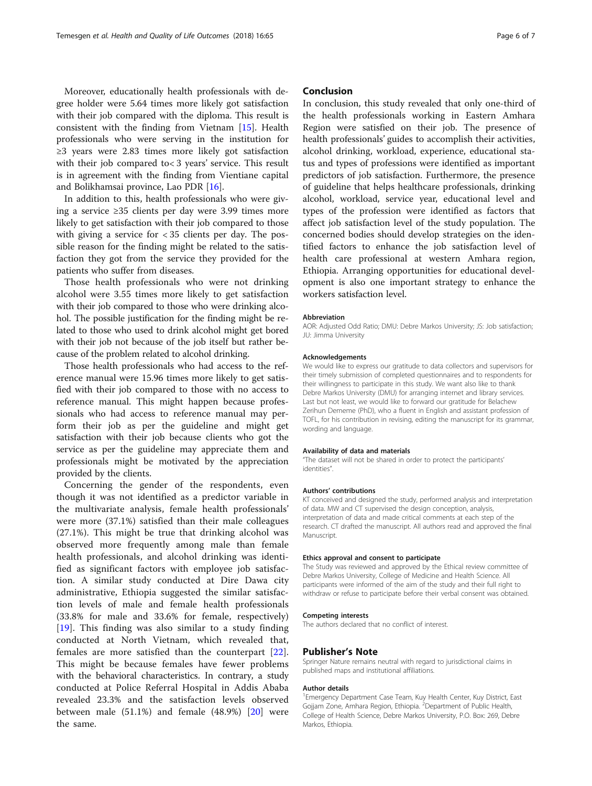Moreover, educationally health professionals with degree holder were 5.64 times more likely got satisfaction with their job compared with the diploma. This result is consistent with the finding from Vietnam [\[15](#page-6-0)]. Health professionals who were serving in the institution for ≥3 years were 2.83 times more likely got satisfaction with their job compared to< 3 years' service. This result is in agreement with the finding from Vientiane capital and Bolikhamsai province, Lao PDR [[16](#page-6-0)].

In addition to this, health professionals who were giving a service ≥35 clients per day were 3.99 times more likely to get satisfaction with their job compared to those with giving a service for < 35 clients per day. The possible reason for the finding might be related to the satisfaction they got from the service they provided for the patients who suffer from diseases.

Those health professionals who were not drinking alcohol were 3.55 times more likely to get satisfaction with their job compared to those who were drinking alcohol. The possible justification for the finding might be related to those who used to drink alcohol might get bored with their job not because of the job itself but rather because of the problem related to alcohol drinking.

Those health professionals who had access to the reference manual were 15.96 times more likely to get satisfied with their job compared to those with no access to reference manual. This might happen because professionals who had access to reference manual may perform their job as per the guideline and might get satisfaction with their job because clients who got the service as per the guideline may appreciate them and professionals might be motivated by the appreciation provided by the clients.

Concerning the gender of the respondents, even though it was not identified as a predictor variable in the multivariate analysis, female health professionals' were more (37.1%) satisfied than their male colleagues (27.1%). This might be true that drinking alcohol was observed more frequently among male than female health professionals, and alcohol drinking was identified as significant factors with employee job satisfaction. A similar study conducted at Dire Dawa city administrative, Ethiopia suggested the similar satisfaction levels of male and female health professionals (33.8% for male and 33.6% for female, respectively) [[19\]](#page-6-0). This finding was also similar to a study finding conducted at North Vietnam, which revealed that, females are more satisfied than the counterpart  $[22]$  $[22]$ . This might be because females have fewer problems with the behavioral characteristics. In contrary, a study conducted at Police Referral Hospital in Addis Ababa revealed 23.3% and the satisfaction levels observed between male  $(51.1\%)$  and female  $(48.9\%)$   $[20]$  $[20]$  $[20]$  were the same.

# Conclusion

In conclusion, this study revealed that only one-third of the health professionals working in Eastern Amhara Region were satisfied on their job. The presence of health professionals' guides to accomplish their activities, alcohol drinking, workload, experience, educational status and types of professions were identified as important predictors of job satisfaction. Furthermore, the presence of guideline that helps healthcare professionals, drinking alcohol, workload, service year, educational level and types of the profession were identified as factors that affect job satisfaction level of the study population. The concerned bodies should develop strategies on the identified factors to enhance the job satisfaction level of health care professional at western Amhara region, Ethiopia. Arranging opportunities for educational development is also one important strategy to enhance the workers satisfaction level.

#### Abbreviation

AOR: Adjusted Odd Ratio; DMU: Debre Markos University; JS: Job satisfaction; JU: Jimma University

#### Acknowledgements

We would like to express our gratitude to data collectors and supervisors for their timely submission of completed questionnaires and to respondents for their willingness to participate in this study. We want also like to thank Debre Markos University (DMU) for arranging internet and library services. Last but not least, we would like to forward our gratitude for Belachew Zerihun Dememe (PhD), who a fluent in English and assistant profession of TOFL, for his contribution in revising, editing the manuscript for its grammar, wording and language.

#### Availability of data and materials

"The dataset will not be shared in order to protect the participants' identities".

#### Authors' contributions

KT conceived and designed the study, performed analysis and interpretation of data. MW and CT supervised the design conception, analysis, interpretation of data and made critical comments at each step of the research. CT drafted the manuscript. All authors read and approved the final Manuscript.

#### Ethics approval and consent to participate

The Study was reviewed and approved by the Ethical review committee of Debre Markos University, College of Medicine and Health Science. All participants were informed of the aim of the study and their full right to withdraw or refuse to participate before their verbal consent was obtained.

#### Competing interests

The authors declared that no conflict of interest.

#### Publisher's Note

Springer Nature remains neutral with regard to jurisdictional claims in published maps and institutional affiliations.

#### Author details

<sup>1</sup> Emergency Department Case Team, Kuy Health Center, Kuy District, East Gojjam Zone, Amhara Region, Ethiopia. <sup>2</sup>Department of Public Health College of Health Science, Debre Markos University, P.O. Box: 269, Debre Markos, Ethiopia.